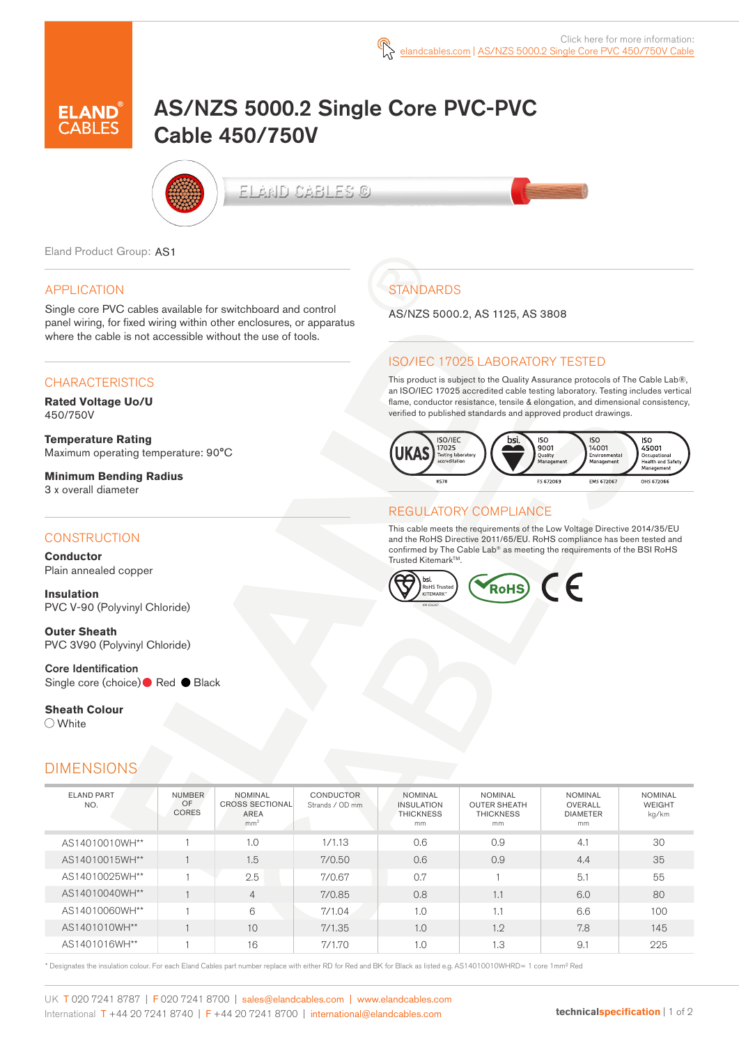

# AS/NZS 5000.2 Single Core PVC-PVC Cable 450/750V



ELAND CABLES ©

Eland Product Group: AS1

## APPLICATION

Single core PVC cables available for switchboard and control panel wiring, for fixed wiring within other enclosures, or apparatus where the cable is not accessible without the use of tools.

## **CHARACTERISTICS**

**Rated Voltage Uo/U**  450/750V

**Temperature Rating** Maximum operating temperature: 90°C

**Minimum Bending Radius**  3 x overall diameter

### **CONSTRUCTION**

**Conductor** Plain annealed copper

**Insulation** PVC V-90 (Polyvinyl Chloride)

**Outer Sheath** PVC 3V90 (Polyvinyl Chloride)

Core Identification Single core (choice)● Red ● Black

**Sheath Colour**  White

## DIMENSIONS

| <b>STANDARDS</b> |
|------------------|
|                  |

AS/NZS 5000.2, AS 1125, AS 3808

## ISO/IEC 17025 LABORATORY TESTED

This product is subject to the Quality Assurance protocols of The Cable Lab®, an ISO/IEC 17025 accredited cable testing laboratory. Testing includes vertical flame, conductor resistance, tensile & elongation, and dimensional consistency, verified to published standards and approved product drawings.



#### REGULATORY COMPLIANCE

This cable meets the requirements of the Low Voltage Directive 2014/35/EU and the RoHS Directive 2011/65/EU. RoHS compliance has been tested and confirmed by The Cable Lab® as meeting the requirements of the BSI RoHS Trusted Kitemark™.



| <b>ELAND PART</b><br>NO. | <b>NUMBER</b><br>OF<br><b>CORES</b> | <b>NOMINAL</b><br><b>CROSS SECTIONAL</b><br><b>AREA</b><br>mm <sup>2</sup> | <b>CONDUCTOR</b><br>Strands / OD mm | <b>NOMINAL</b><br><b>INSULATION</b><br><b>THICKNESS</b><br>mm | <b>NOMINAL</b><br><b>OUTER SHEATH</b><br><b>THICKNESS</b><br>mm | <b>NOMINAL</b><br>OVERALL<br><b>DIAMETER</b><br>mm | <b>NOMINAL</b><br><b>WEIGHT</b><br>kg/km |
|--------------------------|-------------------------------------|----------------------------------------------------------------------------|-------------------------------------|---------------------------------------------------------------|-----------------------------------------------------------------|----------------------------------------------------|------------------------------------------|
| AS14010010WH**           |                                     | 1.0                                                                        | 1/1.13                              | 0.6                                                           | 0.9                                                             | 4.1                                                | 30                                       |
| AS14010015WH**           |                                     | 1.5                                                                        | 7/0.50                              | 0.6                                                           | 0.9                                                             | 4.4                                                | 35                                       |
| AS14010025WH**           |                                     | 2.5                                                                        | 7/0.67                              | 0.7                                                           |                                                                 | 5.1                                                | 55                                       |
| AS14010040WH**           |                                     | $\overline{4}$                                                             | 7/0.85                              | 0.8                                                           | 1.1                                                             | 6.0                                                | 80                                       |
| AS14010060WH**           |                                     | 6                                                                          | 7/1.04                              | 1.0                                                           | 1.1                                                             | 6.6                                                | 100                                      |
| AS1401010WH**            |                                     | 10                                                                         | 7/1.35                              | 1.0                                                           | 1.2                                                             | 7.8                                                | 145                                      |
| AS1401016WH**            |                                     | 16                                                                         | 7/1.70                              | 1.0                                                           | 1.3                                                             | 9.1                                                | 225                                      |

\* Designates the insulation colour. For each Eland Cables part number replace with either RD for Red and BK for Black as listed e.g. AS14010010WHRD= 1 core 1mm² Red